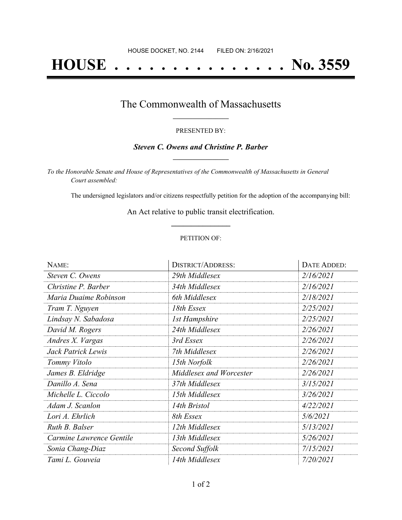# **HOUSE . . . . . . . . . . . . . . . No. 3559**

### The Commonwealth of Massachusetts **\_\_\_\_\_\_\_\_\_\_\_\_\_\_\_\_\_**

#### PRESENTED BY:

#### *Steven C. Owens and Christine P. Barber* **\_\_\_\_\_\_\_\_\_\_\_\_\_\_\_\_\_**

*To the Honorable Senate and House of Representatives of the Commonwealth of Massachusetts in General Court assembled:*

The undersigned legislators and/or citizens respectfully petition for the adoption of the accompanying bill:

An Act relative to public transit electrification. **\_\_\_\_\_\_\_\_\_\_\_\_\_\_\_**

#### PETITION OF:

| NAME:                    | <b>DISTRICT/ADDRESS:</b> | DATE ADDED: |
|--------------------------|--------------------------|-------------|
| Steven C. Owens          | 29th Middlesex           | 2/16/2021   |
| Christine P. Barber      | 34th Middlesex           | 2/16/2021   |
| Maria Duaime Robinson    | 6th Middlesex            | 2/18/2021   |
| Tram T. Nguyen           | 18th Essex               | 2/25/2021   |
| Lindsay N. Sabadosa      | <b>1st Hampshire</b>     | 2/25/2021   |
| David M. Rogers          | 24th Middlesex           | 2/26/2021   |
| Andres X. Vargas         | 3rd Essex                | 2/26/2021   |
| Jack Patrick Lewis       | 7th Middlesex            | 2/26/2021   |
| Tommy Vitolo             | 15th Norfolk             | 2/26/2021   |
| James B. Eldridge        | Middlesex and Worcester  | 2/26/2021   |
| Danillo A. Sena          | 37th Middlesex           | 3/15/2021   |
| Michelle L. Ciccolo      | 15th Middlesex           | 3/26/2021   |
| Adam J. Scanlon          | 14th Bristol             | 4/22/2021   |
| Lori A. Ehrlich          | 8th Essex                | 5/6/2021    |
| Ruth B. Balser           | 12th Middlesex           | 5/13/2021   |
| Carmine Lawrence Gentile | 13th Middlesex           | 5/26/2021   |
| Sonia Chang-Diaz         | Second Suffolk           | 7/15/2021   |
| Tami L. Gouveia          | 14th Middlesex           | 7/20/2021   |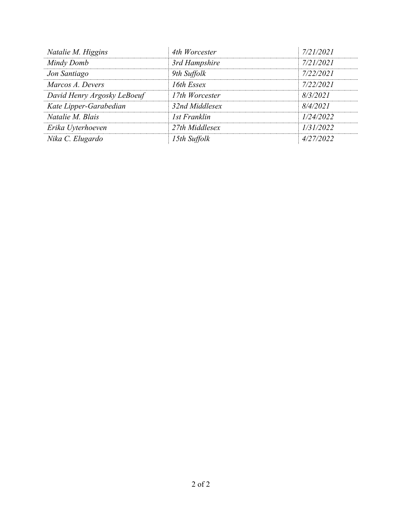| Natalie M. Higgins          | 4th Worcester  | 7/21/2021 |
|-----------------------------|----------------|-----------|
| Mindy Domb                  | 3rd Hampshire  | 7/21/2021 |
| Jon Santiago                | 9th Suffolk    | 7/22/2021 |
| Marcos A. Devers            | 16th Essex     | 7/22/2021 |
| David Henry Argosky LeBoeuf | 17th Worcester | 8/3/2021  |
| Kate Lipper-Garabedian      | 32nd Middlesex | 8/4/2021  |
| Natalie M. Blais            | 1st Franklin   | 1/24/2022 |
| Erika Uyterhoeven           | 27th Middlesex | 1/31/2022 |
| Nika C. Elugardo            | 15th Suffolk   | 4/27/2022 |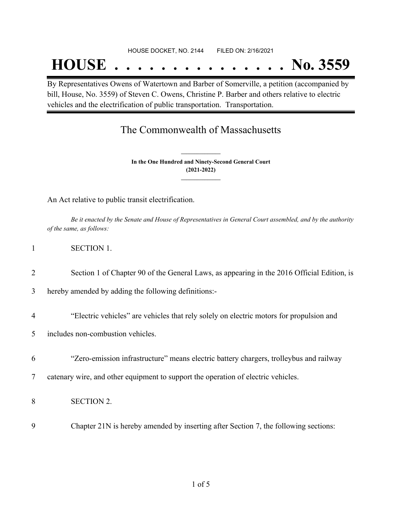#### HOUSE DOCKET, NO. 2144 FILED ON: 2/16/2021

## **HOUSE . . . . . . . . . . . . . . . No. 3559**

By Representatives Owens of Watertown and Barber of Somerville, a petition (accompanied by bill, House, No. 3559) of Steven C. Owens, Christine P. Barber and others relative to electric vehicles and the electrification of public transportation. Transportation.

## The Commonwealth of Massachusetts

**In the One Hundred and Ninety-Second General Court (2021-2022) \_\_\_\_\_\_\_\_\_\_\_\_\_\_\_**

**\_\_\_\_\_\_\_\_\_\_\_\_\_\_\_**

An Act relative to public transit electrification.

Be it enacted by the Senate and House of Representatives in General Court assembled, and by the authority *of the same, as follows:*

2 Section 1 of Chapter 90 of the General Laws, as appearing in the 2016 Official Edition, is

3 hereby amended by adding the following definitions:-

4 "Electric vehicles" are vehicles that rely solely on electric motors for propulsion and

5 includes non-combustion vehicles.

6 "Zero-emission infrastructure" means electric battery chargers, trolleybus and railway

7 catenary wire, and other equipment to support the operation of electric vehicles.

8 SECTION 2.

9 Chapter 21N is hereby amended by inserting after Section 7, the following sections: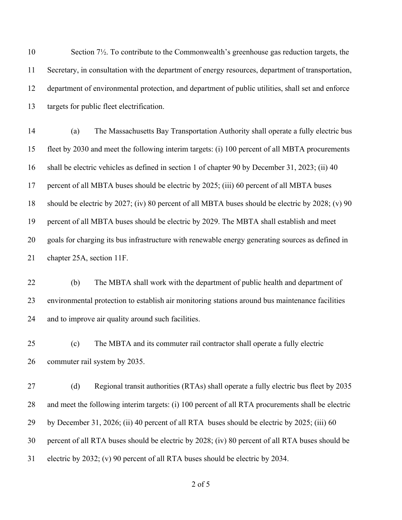Section 7½. To contribute to the Commonwealth's greenhouse gas reduction targets, the Secretary, in consultation with the department of energy resources, department of transportation, department of environmental protection, and department of public utilities, shall set and enforce targets for public fleet electrification.

 (a) The Massachusetts Bay Transportation Authority shall operate a fully electric bus fleet by 2030 and meet the following interim targets: (i) 100 percent of all MBTA procurements shall be electric vehicles as defined in section 1 of chapter 90 by December 31, 2023; (ii) 40 percent of all MBTA buses should be electric by 2025; (iii) 60 percent of all MBTA buses should be electric by 2027; (iv) 80 percent of all MBTA buses should be electric by 2028; (v) 90 percent of all MBTA buses should be electric by 2029. The MBTA shall establish and meet goals for charging its bus infrastructure with renewable energy generating sources as defined in chapter 25A, section 11F.

 (b) The MBTA shall work with the department of public health and department of environmental protection to establish air monitoring stations around bus maintenance facilities and to improve air quality around such facilities.

 (c) The MBTA and its commuter rail contractor shall operate a fully electric commuter rail system by 2035.

27 (d) Regional transit authorities (RTAs) shall operate a fully electric bus fleet by 2035 and meet the following interim targets: (i) 100 percent of all RTA procurements shall be electric by December 31, 2026; (ii) 40 percent of all RTA buses should be electric by 2025; (iii) 60 percent of all RTA buses should be electric by 2028; (iv) 80 percent of all RTA buses should be electric by 2032; (v) 90 percent of all RTA buses should be electric by 2034.

of 5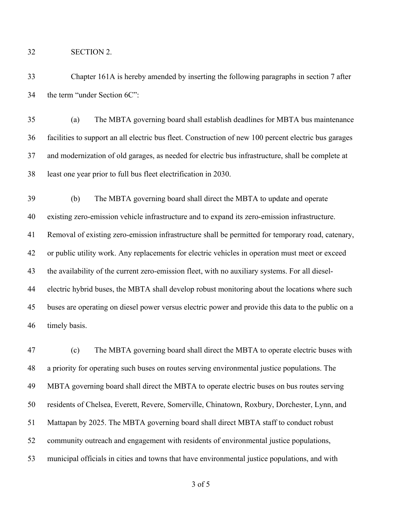SECTION 2.

 Chapter 161A is hereby amended by inserting the following paragraphs in section 7 after the term "under Section 6C":

 (a) The MBTA governing board shall establish deadlines for MBTA bus maintenance facilities to support an all electric bus fleet. Construction of new 100 percent electric bus garages and modernization of old garages, as needed for electric bus infrastructure, shall be complete at least one year prior to full bus fleet electrification in 2030.

 (b) The MBTA governing board shall direct the MBTA to update and operate existing zero-emission vehicle infrastructure and to expand its zero-emission infrastructure. Removal of existing zero-emission infrastructure shall be permitted for temporary road, catenary, or public utility work. Any replacements for electric vehicles in operation must meet or exceed the availability of the current zero-emission fleet, with no auxiliary systems. For all diesel- electric hybrid buses, the MBTA shall develop robust monitoring about the locations where such buses are operating on diesel power versus electric power and provide this data to the public on a timely basis.

 (c) The MBTA governing board shall direct the MBTA to operate electric buses with a priority for operating such buses on routes serving environmental justice populations. The MBTA governing board shall direct the MBTA to operate electric buses on bus routes serving residents of Chelsea, Everett, Revere, Somerville, Chinatown, Roxbury, Dorchester, Lynn, and Mattapan by 2025. The MBTA governing board shall direct MBTA staff to conduct robust community outreach and engagement with residents of environmental justice populations, municipal officials in cities and towns that have environmental justice populations, and with

of 5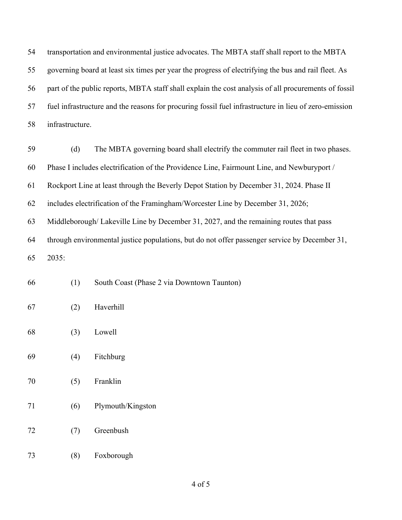transportation and environmental justice advocates. The MBTA staff shall report to the MBTA governing board at least six times per year the progress of electrifying the bus and rail fleet. As part of the public reports, MBTA staff shall explain the cost analysis of all procurements of fossil fuel infrastructure and the reasons for procuring fossil fuel infrastructure in lieu of zero-emission infrastructure.

| 59 | The MBTA governing board shall electrify the commuter rail fleet in two phases.<br>(d)        |
|----|-----------------------------------------------------------------------------------------------|
| 60 | Phase I includes electrification of the Providence Line, Fairmount Line, and Newburyport /    |
| 61 | Rockport Line at least through the Beverly Depot Station by December 31, 2024. Phase II       |
| 62 | includes electrification of the Framingham/Worcester Line by December 31, 2026;               |
| 63 | Middleborough/Lakeville Line by December 31, 2027, and the remaining routes that pass         |
| 64 | through environmental justice populations, but do not offer passenger service by December 31, |
| 65 | 2035:                                                                                         |

| 66 |  | South Coast (Phase 2 via Downtown Taunton) |  |  |  |
|----|--|--------------------------------------------|--|--|--|
|----|--|--------------------------------------------|--|--|--|

- (2) Haverhill
- (3) Lowell
- (4) Fitchburg
- (5) Franklin
- (6) Plymouth/Kingston
- (7) Greenbush
- (8) Foxborough